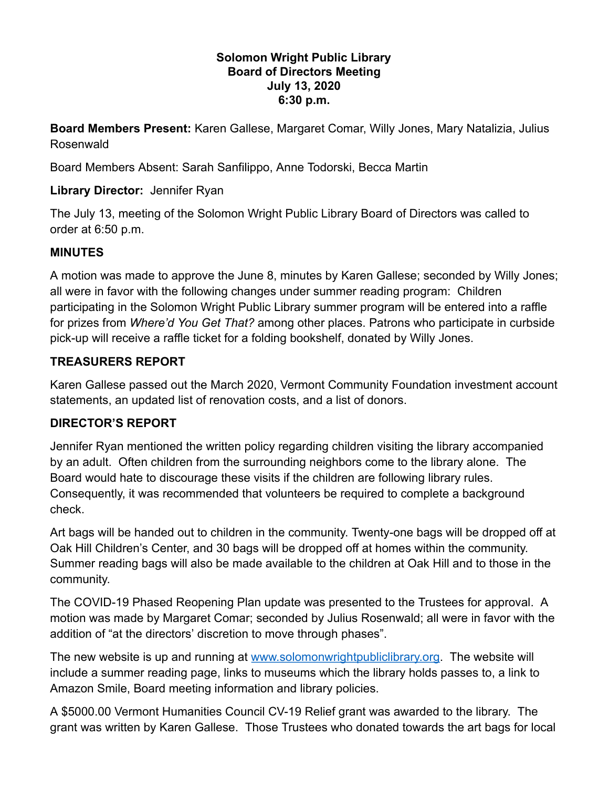#### **Solomon Wright Public Library Board of Directors Meeting July 13, 2020 6:30 p.m.**

**Board Members Present:** Karen Gallese, Margaret Comar, Willy Jones, Mary Natalizia, Julius Rosenwald

Board Members Absent: Sarah Sanfilippo, Anne Todorski, Becca Martin

## **Library Director:** Jennifer Ryan

The July 13, meeting of the Solomon Wright Public Library Board of Directors was called to order at 6:50 p.m.

## **MINUTES**

A motion was made to approve the June 8, minutes by Karen Gallese; seconded by Willy Jones; all were in favor with the following changes under summer reading program: Children participating in the Solomon Wright Public Library summer program will be entered into a raffle for prizes from *Where'd You Get That?* among other places. Patrons who participate in curbside pick-up will receive a raffle ticket for a folding bookshelf, donated by Willy Jones.

# **TREASURERS REPORT**

Karen Gallese passed out the March 2020, Vermont Community Foundation investment account statements, an updated list of renovation costs, and a list of donors.

### **DIRECTOR'S REPORT**

Jennifer Ryan mentioned the written policy regarding children visiting the library accompanied by an adult. Often children from the surrounding neighbors come to the library alone. The Board would hate to discourage these visits if the children are following library rules. Consequently, it was recommended that volunteers be required to complete a background check.

Art bags will be handed out to children in the community. Twenty-one bags will be dropped off at Oak Hill Children's Center, and 30 bags will be dropped off at homes within the community. Summer reading bags will also be made available to the children at Oak Hill and to those in the community.

The COVID-19 Phased Reopening Plan update was presented to the Trustees for approval. A motion was made by Margaret Comar; seconded by Julius Rosenwald; all were in favor with the addition of "at the directors' discretion to move through phases".

The new website is up and running at [www.solomonwrightpubliclibrary.org](http://www.solomonwrightpubliclibrary.org/). The website will include a summer reading page, links to museums which the library holds passes to, a link to Amazon Smile, Board meeting information and library policies.

A \$5000.00 Vermont Humanities Council CV-19 Relief grant was awarded to the library. The grant was written by Karen Gallese. Those Trustees who donated towards the art bags for local